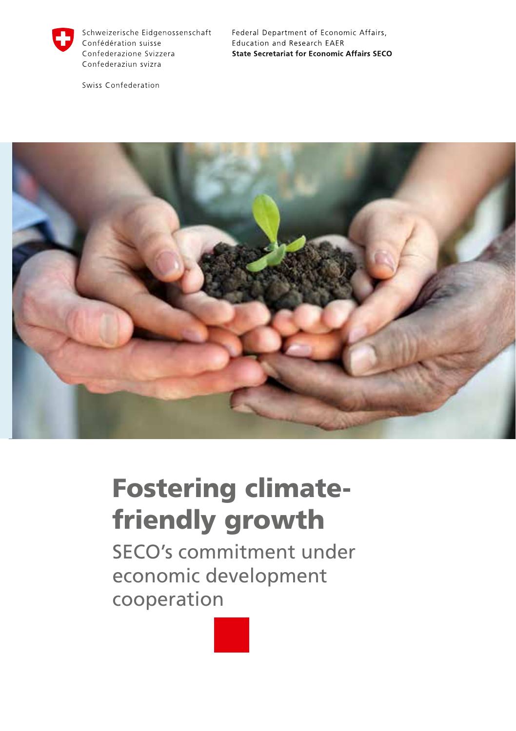

Schweizerische Eidgenossenschaft Confédération suisse Confederazione Svizzera Confederaziun svizra

Swiss Confederation

Federal Department of Economic Affairs, Education and Research EAER **State Secretariat for Economic Affairs SECO** 



# Fostering climatefriendly growth

SECO's commitment under economic development cooperation

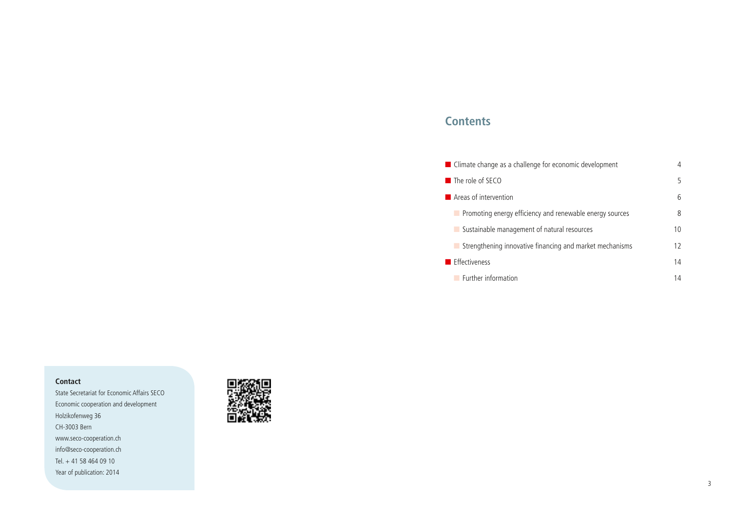## **Contents**

| ■ Climate change as a challenge for economic development | 4  |
|----------------------------------------------------------|----|
| $\blacksquare$ The role of SECO                          | 5  |
| $\blacksquare$ Areas of intervention                     | 6  |
| Promoting energy efficiency and renewable energy sources | 8  |
| Sustainable management of natural resources              | 10 |
| Strengthening innovative financing and market mechanisms | 12 |
| $\blacksquare$ Effectiveness                             | 14 |
| <b>Eurther information</b>                               | 14 |

#### **Contact**

State Secretariat for Economic Affairs SECO Economic cooperation and development Holzikofenweg 36 CH-3003 Bern www.seco-cooperation.ch info@seco-cooperation.ch Tel. + 41 58 464 09 10 Year of publication: 2014

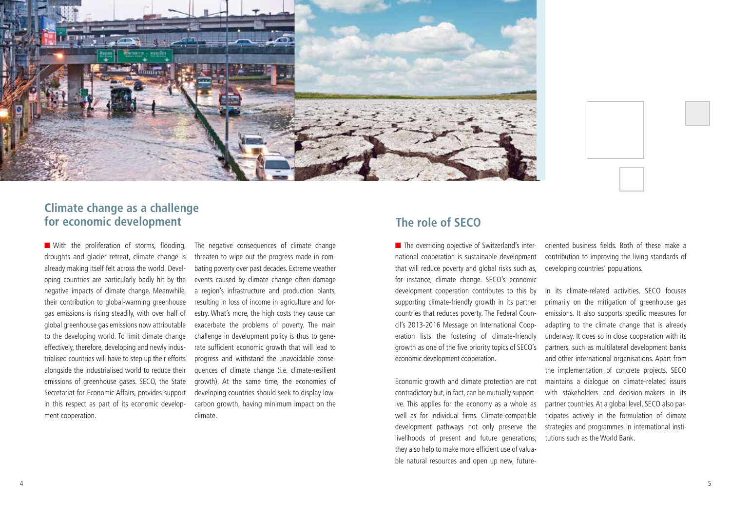

## **Climate change as a challenge for economic development The role of SECO**

■ With the proliferation of storms, flooding, droughts and glacier retreat, climate change is already making itself felt across the world. Developing countries are particularly badly hit by the negative impacts of climate change. Meanwhile, their contribution to global-warming greenhouse gas emissions is rising steadily, with over half of global greenhouse gas emissions now attributable to the developing world. To limit climate change effectively, therefore, developing and newly industrialised countries will have to step up their efforts alongside the industrialised world to reduce their emissions of greenhouse gases. SECO, the State Secretariat for Economic Affairs, provides support in this respect as part of its economic development cooperation.

The negative consequences of climate change threaten to wipe out the progress made in combating poverty over past decades. Extreme weather events caused by climate change often damage a region's infrastructure and production plants, resulting in loss of income in agriculture and forestry. What's more, the high costs they cause can exacerbate the problems of poverty. The main challenge in development policy is thus to generate sufficient economic growth that will lead to progress and withstand the unavoidable consequences of climate change (i.e. climate-resilient growth). At the same time, the economies of developing countries should seek to display lowcarbon growth, having minimum impact on the climate.

■ The overriding objective of Switzerland's international cooperation is sustainable development that will reduce poverty and global risks such as, for instance, climate change. SECO's economic development cooperation contributes to this by supporting climate-friendly growth in its partner countries that reduces poverty. The Federal Council's 2013-2016 Message on International Cooperation lists the fostering of climate-friendly growth as one of the five priority topics of SECO's economic development cooperation.

Economic growth and climate protection are not contradictory but, in fact, can be mutually supportive. This applies for the economy as a whole as well as for individual firms. Climate-compatible development pathways not only preserve the livelihoods of present and future generations; they also help to make more efficient use of valuable natural resources and open up new, futureoriented business fields. Both of these make a contribution to improving the living standards of developing countries' populations.

In its climate-related activities, SECO focuses primarily on the mitigation of greenhouse gas emissions. It also supports specific measures for adapting to the climate change that is already underway. It does so in close cooperation with its partners, such as multilateral development banks and other international organisations. Apart from the implementation of concrete projects, SECO maintains a dialogue on climate-related issues with stakeholders and decision-makers in its partner countries. At a global level, SECO also participates actively in the formulation of climate strategies and programmes in international institutions such as the World Bank.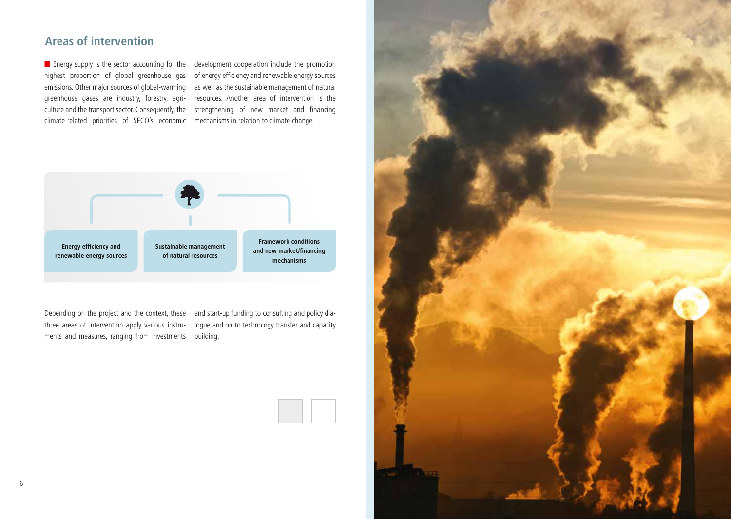## **Areas of intervention**

climate-related priorities of SECO's economic mechanisms in relation to climate change.

■ Energy supply is the sector accounting for the development cooperation include the promotion highest proportion of global greenhouse gas of energy efficiency and renewable energy sources emissions. Other major sources of global-warming as well as the sustainable management of natural greenhouse gases are industry, forestry, agri-resources. Another area of intervention is the culture and the transport sector. Consequently, the strengthening of new market and financing



Depending on the project and the context, these and start-up funding to consulting and policy diathree areas of intervention apply various instru-logue and on to technology transfer and capacity ments and measures, ranging from investments building.

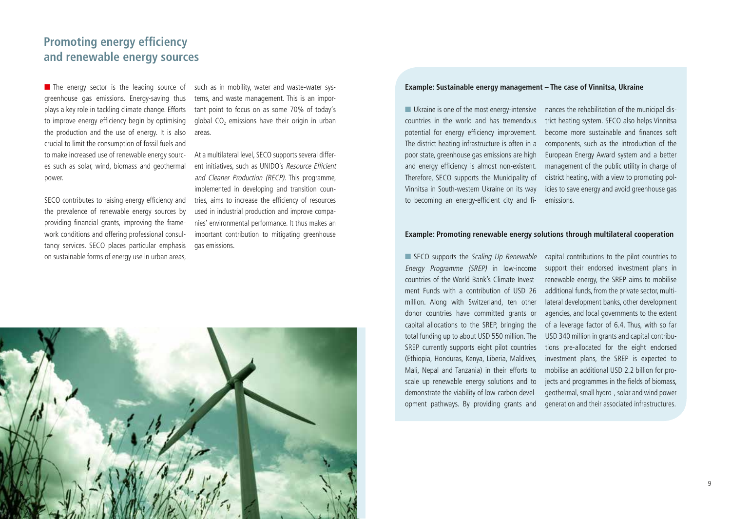## **Promoting energy efficiency and renewable energy sources**

■ The energy sector is the leading source of greenhouse gas emissions. Energy-saving thus plays a key role in tackling climate change. Efforts to improve energy efficiency begin by optimising the production and the use of energy. It is also crucial to limit the consumption of fossil fuels and to make increased use of renewable energy sources such as solar, wind, biomass and geothermal power.

SECO contributes to raising energy efficiency and the prevalence of renewable energy sources by providing financial grants, improving the framework conditions and offering professional consultancy services. SECO places particular emphasis on sustainable forms of energy use in urban areas,

such as in mobility, water and waste-water systems, and waste management. This is an important point to focus on as some 70% of today's global  $CO<sub>2</sub>$  emissions have their origin in urban areas.

At a multilateral level, SECO supports several different initiatives, such as UNIDO's Resource Efficient and Cleaner Production (RECP). This programme, implemented in developing and transition countries, aims to increase the efficiency of resources used in industrial production and improve companies' environmental performance. It thus makes an important contribution to mitigating greenhouse gas emissions.

## **Example: Sustainable energy management – The case of Vinnitsa, Ukraine**

■ Ukraine is one of the most energy-intensive countries in the world and has tremendous potential for energy efficiency improvement. The district heating infrastructure is often in a poor state, greenhouse gas emissions are high and energy efficiency is almost non-existent. Therefore, SECO supports the Municipality of Vinnitsa in South-western Ukraine on its way to becoming an energy-efficient city and fi-emissions.

nances the rehabilitation of the municipal district heating system. SECO also helps Vinnitsa become more sustainable and finances soft components, such as the introduction of the European Energy Award system and a better management of the public utility in charge of district heating, with a view to promoting policies to save energy and avoid greenhouse gas

#### **Example: Promoting renewable energy solutions through multilateral cooperation**

■ SECO supports the Scaling Up Renewable Energy Programme (SREP) in low-income countries of the World Bank's Climate Investment Funds with a contribution of USD 26 million. Along with Switzerland, ten other donor countries have committed grants or capital allocations to the SREP, bringing the total funding up to about USD 550 million. The SREP currently supports eight pilot countries (Ethiopia, Honduras, Kenya, Liberia, Maldives, Mali, Nepal and Tanzania) in their efforts to scale up renewable energy solutions and to demonstrate the viability of low-carbon development pathways. By providing grants and

capital contributions to the pilot countries to support their endorsed investment plans in renewable energy, the SREP aims to mobilise additional funds, from the private sector, multilateral development banks, other development agencies, and local governments to the extent of a leverage factor of 6.4. Thus, with so far USD 340 million in grants and capital contributions pre-allocated for the eight endorsed investment plans, the SREP is expected to mobilise an additional USD 2.2 billion for projects and programmes in the fields of biomass, geothermal, small hydro-, solar and wind power generation and their associated infrastructures.

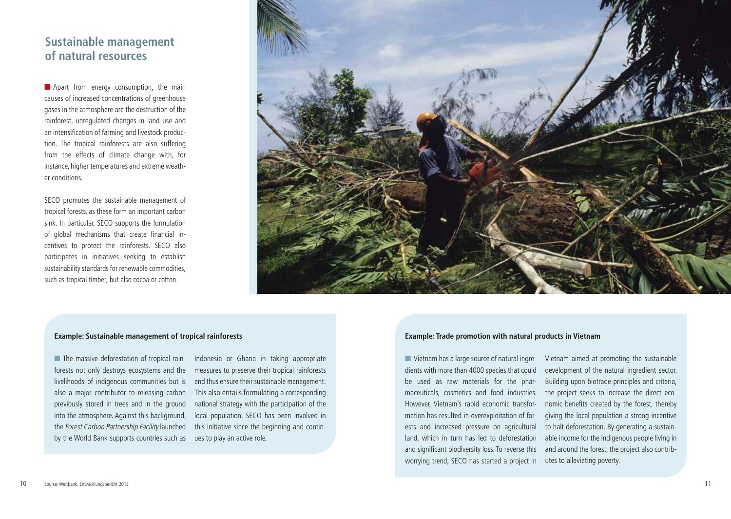## **Sustainable management of natural resources**

■ Apart from energy consumption, the main causes of increased concentrations of greenhouse gases in the atmosphere are the destruction of the rainforest, unregulated changes in land use and an intensification of farming and livestock production. The tropical rainforests are also suffering from the effects of climate change with, for instance, higher temperatures and extreme weather conditions.

SECO promotes the sustainable management of tropical forests, as these form an important carbon sink. In particular, SECO supports the formulation of global mechanisms that create financial incentives to protect the rainforests. SECO also participates in initiatives seeking to establish sustainability standards for renewable commodities, such as tropical timber, but also cocoa or cotton.



#### **Example: Sustainable management of tropical rainforests**

■ The massive deforestation of tropical rainforests not only destroys ecosystems and the livelihoods of indigenous communities but is also a major contributor to releasing carbon previously stored in trees and in the ground into the atmosphere. Against this background, the Forest Carbon Partnership Facility launched by the World Bank supports countries such as

Indonesia or Ghana in taking appropriate measures to preserve their tropical rainforests and thus ensure their sustainable management. This also entails formulating a corresponding national strategy with the participation of the local population. SECO has been involved in this initiative since the beginning and continues to play an active role.

#### **Example: Trade promotion with natural products in Vietnam**

■ Vietnam has a large source of natural ingredients with more than 4000 species that could be used as raw materials for the pharmaceuticals, cosmetics and food industries. However, Vietnam's rapid economic transformation has resulted in overexploitation of forests and increased pressure on agricultural land, which in turn has led to deforestation and significant biodiversity loss. To reverse this worrying trend, SECO has started a project in utes to alleviating poverty.

Vietnam aimed at promoting the sustainable development of the natural ingredient sector. Building upon biotrade principles and criteria, the project seeks to increase the direct economic benefits created by the forest, thereby giving the local population a strong incentive to halt deforestation. By generating a sustainable income for the indigenous people living in and around the forest, the project also contrib-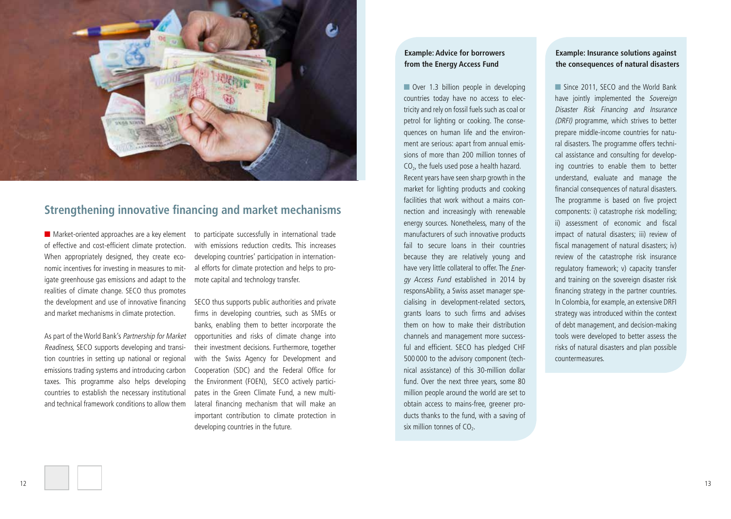

## **Strengthening innovative financing and market mechanisms**

■ Market-oriented approaches are a key element of effective and cost-efficient climate protection. When appropriately designed, they create economic incentives for investing in measures to mitigate greenhouse gas emissions and adapt to the realities of climate change. SECO thus promotes the development and use of innovative financing and market mechanisms in climate protection.

As part of the World Bank's Partnership for Market Readiness, SECO supports developing and transition countries in setting up national or regional emissions trading systems and introducing carbon taxes. This programme also helps developing countries to establish the necessary institutional and technical framework conditions to allow them

to participate successfully in international trade with emissions reduction credits. This increases developing countries' participation in international efforts for climate protection and helps to promote capital and technology transfer.

SECO thus supports public authorities and private firms in developing countries, such as SMEs or banks, enabling them to better incorporate the opportunities and risks of climate change into their investment decisions. Furthermore, together with the Swiss Agency for Development and Cooperation (SDC) and the Federal Office for the Environment (FOEN), SECO actively participates in the Green Climate Fund, a new multilateral financing mechanism that will make an important contribution to climate protection in developing countries in the future.

### **Example: Advice for borrowers from the Energy Access Fund**

■ Over 1.3 billion people in developing countries today have no access to electricity and rely on fossil fuels such as coal or petrol for lighting or cooking. The consequences on human life and the environment are serious: apart from annual emissions of more than 200 million tonnes of  $CO<sub>2</sub>$ , the fuels used pose a health hazard. Recent years have seen sharp growth in the market for lighting products and cooking facilities that work without a mains connection and increasingly with renewable energy sources. Nonetheless, many of the manufacturers of such innovative products fail to secure loans in their countries because they are relatively young and have very little collateral to offer. The Energy Access Fund established in 2014 by responsAbility, a Swiss asset manager specialising in development-related sectors, grants loans to such firms and advises them on how to make their distribution channels and management more successful and efficient. SECO has pledged CHF 500 000 to the advisory component (technical assistance) of this 30-million dollar fund. Over the next three years, some 80 million people around the world are set to obtain access to mains-free, greener products thanks to the fund, with a saving of six million tonnes of  $CO<sub>2</sub>$ .

### **Example: Insurance solutions against the consequences of natural disasters**

■ Since 2011, SECO and the World Bank have jointly implemented the Sovereign Disaster Risk Financing and Insurance (DRFI) programme, which strives to better prepare middle-income countries for natural disasters. The programme offers technical assistance and consulting for developing countries to enable them to better understand, evaluate and manage the financial consequences of natural disasters. The programme is based on five project components: i) catastrophe risk modelling; ii) assessment of economic and fiscal impact of natural disasters; iii) review of fiscal management of natural disasters; iv) review of the catastrophe risk insurance regulatory framework; v) capacity transfer and training on the sovereign disaster risk financing strategy in the partner countries. In Colombia, for example, an extensive DRFI strategy was introduced within the context of debt management, and decision-making tools were developed to better assess the risks of natural disasters and plan possible countermeasures.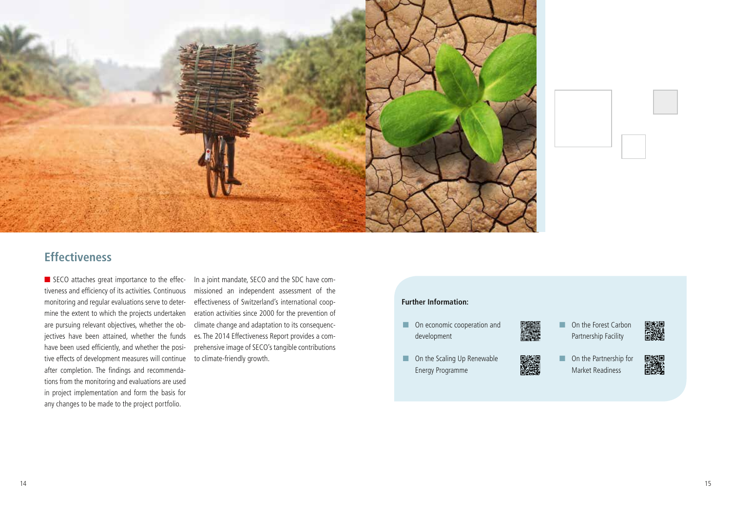



## **Effectiveness**

■ SECO attaches great importance to the effec- In a joint mandate, SECO and the SDC have comtiveness and efficiency of its activities. Continuous monitoring and regular evaluations serve to determine the extent to which the projects undertaken are pursuing relevant objectives, whether the objectives have been attained, whether the funds have been used efficiently, and whether the positive effects of development measures will continue after completion. The findings and recommendations from the monitoring and evaluations are used in project implementation and form the basis for any changes to be made to the project portfolio.

missioned an independent assessment of the effectiveness of Switzerland's international cooperation activities since 2000 for the prevention of climate change and adaptation to its consequences. The 2014 Effectiveness Report provides a comprehensive image of SECO's tangible contributions to climate-friendly growth.

#### **Further Information:**

- On economic cooperation and development
- On the Scaling Up Renewable Energy Programme
- ■ On the Forest Carbon

P 2000

- Partnership Facility
- 
- On the Partnership for Market Readiness
- 龖